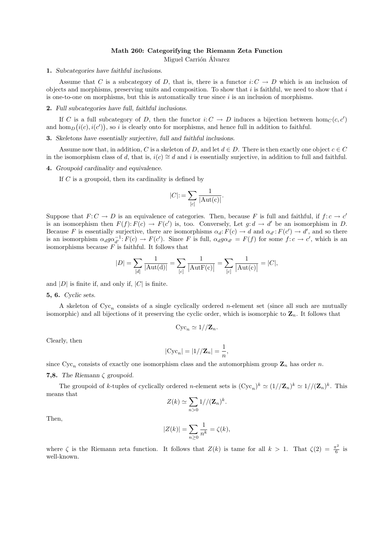## Math 260: Categorifying the Riemann Zeta Function

Miguel Carrión Álvarez

#### 1. Subcategories have faithful inclusions.

Assume that C is a subcategory of D, that is, there is a functor  $i: C \to D$  which is an inclusion of objects and morphisms, preserving units and composition. To show that i is faithful, we need to show that i is one-to-one on morphisms, but this is automatically true since  $i$  is an inclusion of morphisms.

# 2. Full subcategories have full, faithful inclusions.

If C is a full subcategory of D, then the functor  $i: C \to D$  induces a bijection between  $hom_C(c, c')$ and hom<sub>D</sub> $(i(c), i(c'))$ , so i is clearly onto for morphisms, and hence full in addition to faithful.

3. Skeletons have essentially surjective, full and faithful inclusions.

Assume now that, in addition, C is a skeleton of D, and let  $d \in D$ . There is then exactly one object  $c \in C$ in the isomorphism class of d, that is,  $i(c) \cong d$  and i is essentially surjective, in addition to full and faithful.

#### 4. Groupoid cardinality and equivalence.

If  $C$  is a groupoid, then its cardinality is defined by

$$
|C| := \sum_{[c]} \frac{1}{|\text{Aut}(c)|}.
$$

Suppose that  $F: C \to D$  is an equivalence of categories. Then, because F is full and faithful, if  $f: c \to c'$ is an isomorphism then  $F(f): F(c) \to F(c')$  is, too. Conversely, Let  $g: d \to d'$  be an isomorphism in D. Because F is essentially surjective, there are isomorphisms  $\alpha_d : F(c) \to d$  and  $\alpha_{d'} : F(c') \to d'$ , and so there is an isomorphism  $\alpha_d g \alpha_{d'}^{-1}: F(c) \to F(c')$ . Since F is full,  $\alpha_d g \alpha_{d'} = F(f)$  for some  $f: c \to c'$ , which is an isomorphisms because  $F$  is faithful. It follows that

$$
|D| = \sum_{[d]} \frac{1}{|\mathrm{Aut}(\mathrm{d})|} = \sum_{[c]} \frac{1}{|\mathrm{Aut} \mathrm{F}(\mathrm{c})|} = \sum_{[c]} \frac{1}{|\mathrm{Aut}(\mathrm{c})|} = |C|,
$$

and  $|D|$  is finite if, and only if,  $|C|$  is finite.

#### 5, 6. Cyclic sets.

A skeleton of  $Cyc_n$  consists of a single cyclically ordered *n*-element set (since all such are mutually isomorphic) and all bijections of it preserving the cyclic order, which is isomorphic to  $\mathbf{Z}_n$ . It follows that

$$
Cyc_n \simeq 1//\mathbf{Z}_n.
$$

Clearly, then

$$
|\mathrm{Cyc}_n| = |1|/|\mathbf{Z}_n| = \frac{1}{n},
$$

since  $Cyc_n$  consists of exactly one isomorphism class and the automorphism group  $\mathbb{Z}_n$  has order n.

### 7,8. The Riemann  $\zeta$  groupoid.

The groupoid of k-tuples of cyclically ordered n-element sets is  $(\text{Cyc}_n)^k \simeq (1//\mathbb{Z}_n)^k \simeq 1/(\mathbb{Z}_n)^k$ . This means that

$$
Z(k) \simeq \sum_{n>0} 1//(\mathbf{Z}_n)^k.
$$

Then,

$$
|Z(k)| = \sum_{n\geq 0} \frac{1}{n^k} = \zeta(k),
$$

where  $\zeta$  is the Riemann zeta function. It follows that  $Z(k)$  is tame for all  $k > 1$ . That  $\zeta(2) = \frac{\pi^2}{6}$  $\frac{5}{6}$  is well-known.